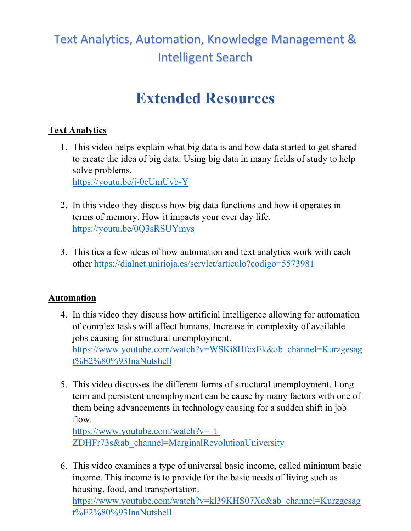# Text Analytics, Automation, Knowledge Management & Intelligent Search

# **Extended Resources**

## **Text Analytics**

1. This video helps explain what big data is and how data started to get shared to create the idea of big data. Using big data in many fields of study to help solve problems.

<https://youtu.be/j-0cUmUyb-Y>

- 2. In this video they discuss how big data functions and how it operates in terms of memory. How it impacts your ever day life. <https://youtu.be/0Q3sRSUYmys>
- 3. This ties a few ideas of how automation and text analytics work with each other<https://dialnet.unirioja.es/servlet/articulo?codigo=5573981>

### **Automation**

- 4. In this video they discuss how artificial intelligence allowing for automation of complex tasks will affect humans. Increase in complexity of available jobs causing for structural unemployment. [https://www.youtube.com/watch?v=WSKi8HfcxEk&ab\\_channel=Kurzgesag](https://www.youtube.com/watch?v=WSKi8HfcxEk&ab_channel=Kurzgesagt%E2%80%93InaNutshell) [t%E2%80%93InaNutshell](https://www.youtube.com/watch?v=WSKi8HfcxEk&ab_channel=Kurzgesagt%E2%80%93InaNutshell)
- 5. This video discusses the different forms of structural unemployment. Long term and persistent unemployment can be cause by many factors with one of them being advancements in technology causing for a sudden shift in job flow.

[https://www.youtube.com/watch?v=\\_t-](https://www.youtube.com/watch?v=_t-ZDHFr73s&ab_channel=MarginalRevolutionUniversity)[ZDHFr73s&ab\\_channel=MarginalRevolutionUniversity](https://www.youtube.com/watch?v=_t-ZDHFr73s&ab_channel=MarginalRevolutionUniversity)

6. This video examines a type of universal basic income, called minimum basic income. This income is to provide for the basic needs of living such as housing, food, and transportation. [https://www.youtube.com/watch?v=kl39KHS07Xc&ab\\_channel=Kurzgesag](https://www.youtube.com/watch?v=kl39KHS07Xc&ab_channel=Kurzgesagt%E2%80%93InaNutshell) [t%E2%80%93InaNutshell](https://www.youtube.com/watch?v=kl39KHS07Xc&ab_channel=Kurzgesagt%E2%80%93InaNutshell)